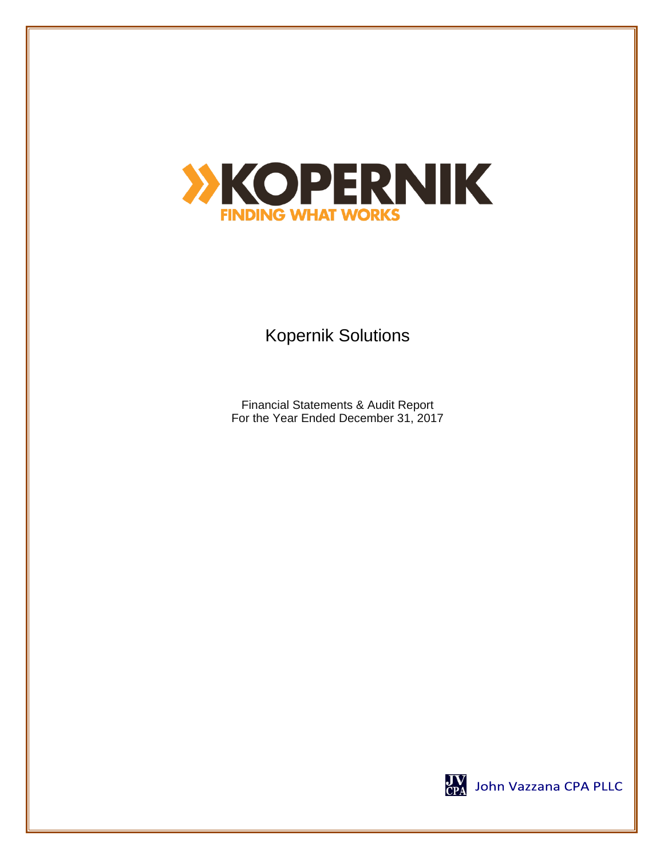

## Kopernik Solutions

Financial Statements & Audit Report For the Year Ended December 31, 2017



JV John Vazzana CPA PLLC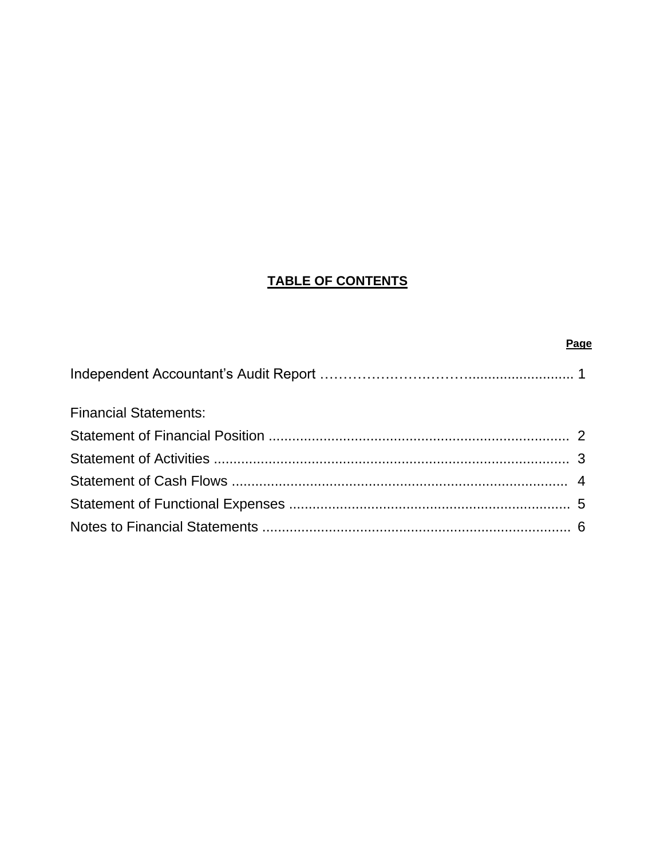## **TABLE OF CONTENTS**

# **Page**  Independent Accountant's Audit Report …………….…….………........................... 1 Financial Statements: Statement of Financial Position ............................................................................. 2 Statement of Activities ........................................................................................... 3 Statement of Cash Flows ...................................................................................... 4 Statement of Functional Expenses ........................................................................ 5 Notes to Financial Statements ............................................................................... 6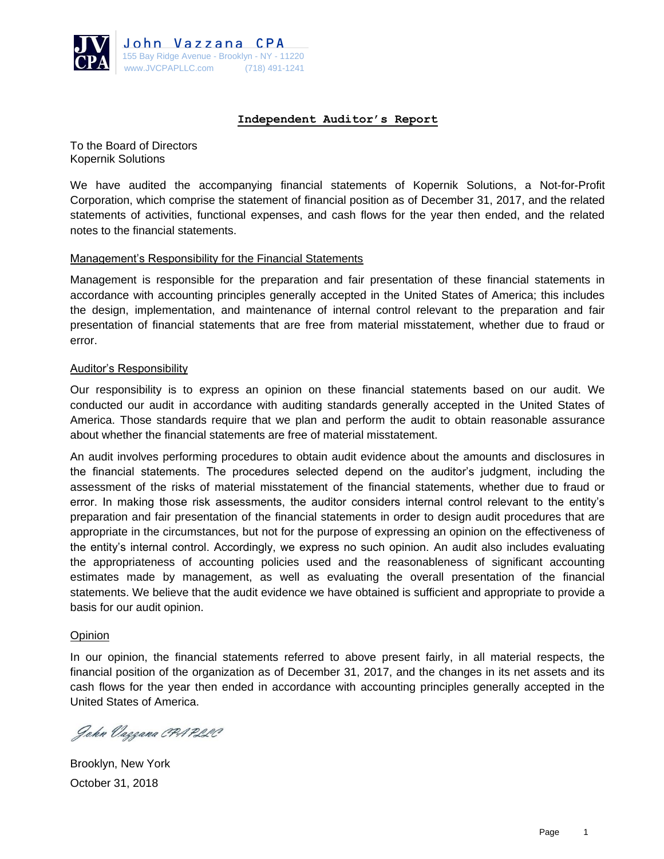

#### **Independent Auditor's Report**

To the Board of Directors Kopernik Solutions

We have audited the accompanying financial statements of Kopernik Solutions, a Not-for-Profit Corporation, which comprise the statement of financial position as of December 31, 2017, and the related statements of activities, functional expenses, and cash flows for the year then ended, and the related notes to the financial statements.

#### Management's Responsibility for the Financial Statements

Management is responsible for the preparation and fair presentation of these financial statements in accordance with accounting principles generally accepted in the United States of America; this includes the design, implementation, and maintenance of internal control relevant to the preparation and fair presentation of financial statements that are free from material misstatement, whether due to fraud or error.

#### Auditor's Responsibility

Our responsibility is to express an opinion on these financial statements based on our audit. We conducted our audit in accordance with auditing standards generally accepted in the United States of America. Those standards require that we plan and perform the audit to obtain reasonable assurance about whether the financial statements are free of material misstatement.

An audit involves performing procedures to obtain audit evidence about the amounts and disclosures in the financial statements. The procedures selected depend on the auditor's judgment, including the assessment of the risks of material misstatement of the financial statements, whether due to fraud or error. In making those risk assessments, the auditor considers internal control relevant to the entity's preparation and fair presentation of the financial statements in order to design audit procedures that are appropriate in the circumstances, but not for the purpose of expressing an opinion on the effectiveness of the entity's internal control. Accordingly, we express no such opinion. An audit also includes evaluating the appropriateness of accounting policies used and the reasonableness of significant accounting estimates made by management, as well as evaluating the overall presentation of the financial statements. We believe that the audit evidence we have obtained is sufficient and appropriate to provide a basis for our audit opinion.

#### **Opinion**

In our opinion, the financial statements referred to above present fairly, in all material respects, the financial position of the organization as of December 31, 2017, and the changes in its net assets and its cash flows for the year then ended in accordance with accounting principles generally accepted in the United States of America.

John Vaggana CPA PLLC

Brooklyn, New York October 31, 2018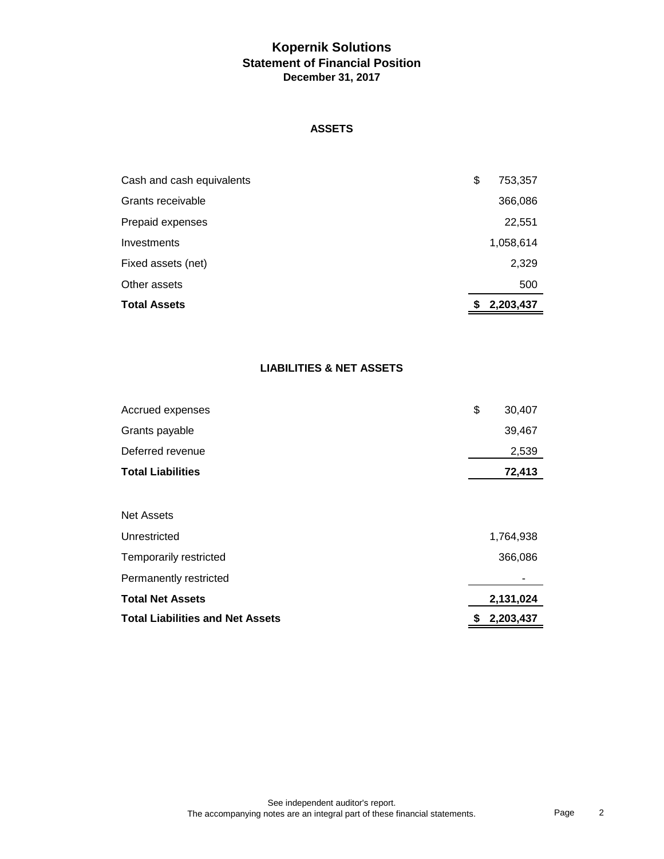## **Kopernik Solutions Statement of Financial Position December 31, 2017**

#### **ASSETS**

| <b>Total Assets</b>       | 2,203,437     |
|---------------------------|---------------|
| Other assets              | 500           |
| Fixed assets (net)        | 2,329         |
| Investments               | 1,058,614     |
| Prepaid expenses          | 22,551        |
| Grants receivable         | 366,086       |
| Cash and cash equivalents | \$<br>753,357 |

#### **LIABILITIES & NET ASSETS**

| Accrued expenses                        | \$<br>30,407 |
|-----------------------------------------|--------------|
| Grants payable                          | 39,467       |
| Deferred revenue                        | 2,539        |
| <b>Total Liabilities</b>                | 72,413       |
|                                         |              |
| <b>Net Assets</b>                       |              |
| Unrestricted                            | 1,764,938    |
| Temporarily restricted                  | 366,086      |
| Permanently restricted                  |              |
| <b>Total Net Assets</b>                 | 2,131,024    |
| <b>Total Liabilities and Net Assets</b> | 2,203,437    |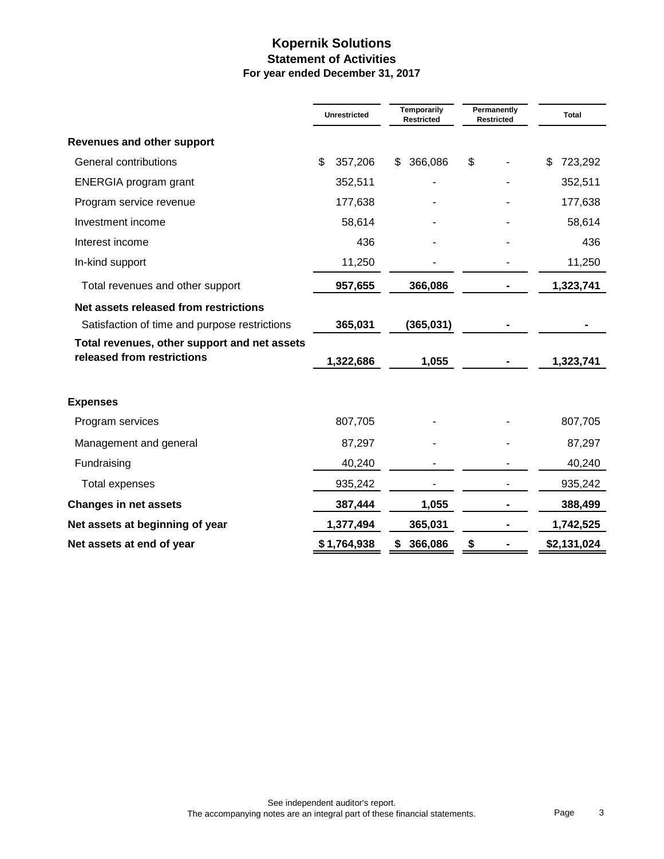## **Kopernik Solutions Statement of Activities For year ended December 31, 2017**

|                                                                            | <b>Unrestricted</b> | <b>Temporarily</b><br><b>Restricted</b> |            | Permanently<br><b>Restricted</b> |  | <b>Total</b> |             |
|----------------------------------------------------------------------------|---------------------|-----------------------------------------|------------|----------------------------------|--|--------------|-------------|
| <b>Revenues and other support</b>                                          |                     |                                         |            |                                  |  |              |             |
| General contributions                                                      | \$<br>357,206       | \$                                      | 366,086    | \$                               |  | \$           | 723,292     |
| ENERGIA program grant                                                      | 352,511             |                                         |            |                                  |  |              | 352,511     |
| Program service revenue                                                    | 177,638             |                                         |            |                                  |  |              | 177,638     |
| Investment income                                                          | 58,614              |                                         |            |                                  |  |              | 58,614      |
| Interest income                                                            | 436                 |                                         |            |                                  |  |              | 436         |
| In-kind support                                                            | 11,250              |                                         |            |                                  |  |              | 11,250      |
| Total revenues and other support                                           | 957,655             |                                         | 366,086    |                                  |  |              | 1,323,741   |
| Net assets released from restrictions                                      |                     |                                         |            |                                  |  |              |             |
| Satisfaction of time and purpose restrictions                              | 365,031             |                                         | (365, 031) |                                  |  |              |             |
| Total revenues, other support and net assets<br>released from restrictions | 1,322,686           |                                         | 1,055      |                                  |  |              | 1,323,741   |
| <b>Expenses</b>                                                            |                     |                                         |            |                                  |  |              |             |
| Program services                                                           | 807,705             |                                         |            |                                  |  |              | 807,705     |
| Management and general                                                     | 87,297              |                                         |            |                                  |  |              | 87,297      |
| Fundraising                                                                | 40,240              |                                         |            |                                  |  |              | 40,240      |
| Total expenses                                                             | 935,242             |                                         |            |                                  |  |              | 935,242     |
| <b>Changes in net assets</b>                                               | 387,444             |                                         | 1,055      |                                  |  |              | 388,499     |
| Net assets at beginning of year                                            | 1,377,494           |                                         | 365,031    |                                  |  |              | 1,742,525   |
| Net assets at end of year                                                  | \$1,764,938         | \$                                      | 366,086    | \$                               |  |              | \$2,131,024 |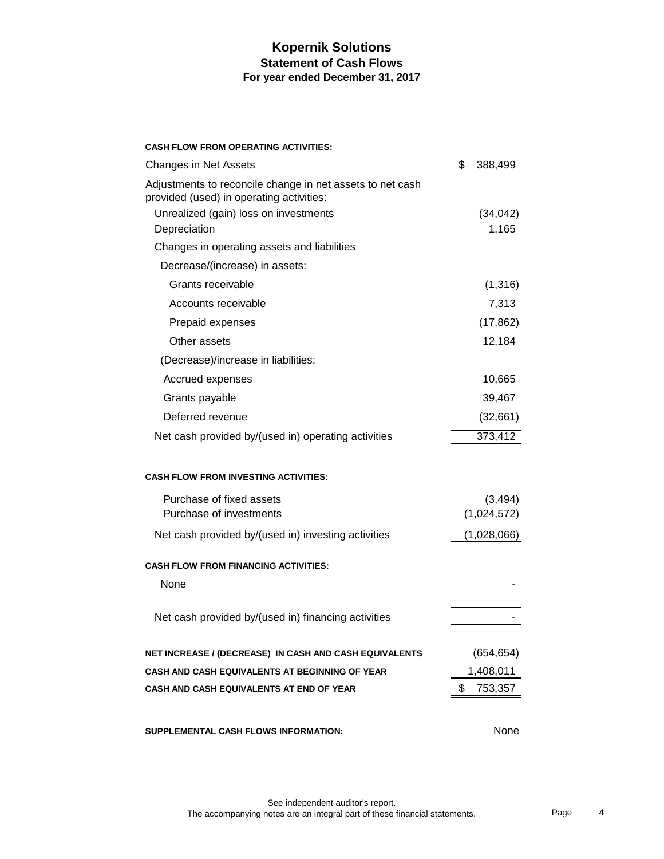## **Kopernik Solutions Statement of Cash Flows For year ended December 31, 2017**

| <b>CASH FLOW FROM OPERATING ACTIVITIES:</b>                                                                                                    |                         |
|------------------------------------------------------------------------------------------------------------------------------------------------|-------------------------|
| Changes in Net Assets                                                                                                                          | \$<br>388,499           |
| Adjustments to reconcile change in net assets to net cash<br>provided (used) in operating activities:<br>Unrealized (gain) loss on investments | (34, 042)               |
| Depreciation                                                                                                                                   | 1,165                   |
| Changes in operating assets and liabilities                                                                                                    |                         |
| Decrease/(increase) in assets:                                                                                                                 |                         |
| Grants receivable                                                                                                                              | (1,316)                 |
| Accounts receivable                                                                                                                            | 7,313                   |
| Prepaid expenses                                                                                                                               | (17, 862)               |
| Other assets                                                                                                                                   | 12,184                  |
| (Decrease)/increase in liabilities:                                                                                                            |                         |
| Accrued expenses                                                                                                                               | 10,665                  |
| Grants payable                                                                                                                                 | 39,467                  |
| Deferred revenue                                                                                                                               | (32,661)                |
| Net cash provided by/(used in) operating activities                                                                                            | 373,412                 |
| <b>CASH FLOW FROM INVESTING ACTIVITIES:</b>                                                                                                    |                         |
| Purchase of fixed assets<br>Purchase of investments                                                                                            | (3, 494)<br>(1,024,572) |
| Net cash provided by/(used in) investing activities                                                                                            | (1,028,066)             |
| <b>CASH FLOW FROM FINANCING ACTIVITIES:</b>                                                                                                    |                         |
| None                                                                                                                                           |                         |
| Net cash provided by/(used in) financing activities                                                                                            |                         |
| NET INCREASE / (DECREASE) IN CASH AND CASH EQUIVALENTS                                                                                         | (654, 654)              |
| CASH AND CASH EQUIVALENTS AT BEGINNING OF YEAR                                                                                                 | 1,408,011               |
| <b>CASH AND CASH EQUIVALENTS AT END OF YEAR</b>                                                                                                | \$<br>753,357           |
| SUPPLEMENTAL CASH FLOWS INFORMATION:                                                                                                           | None                    |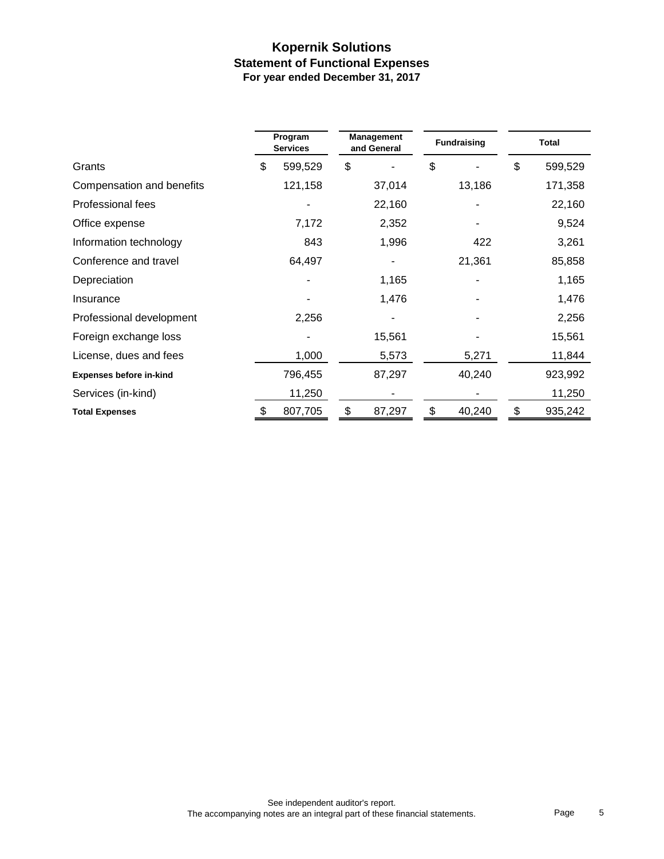## **Kopernik Solutions Statement of Functional Expenses For year ended December 31, 2017**

|                                | Program<br><b>Services</b> | Management<br>and General |    | <b>Fundraising</b> |    |         |  | <b>Total</b> |  |
|--------------------------------|----------------------------|---------------------------|----|--------------------|----|---------|--|--------------|--|
| Grants                         | \$<br>599,529              | \$                        | \$ |                    | \$ | 599,529 |  |              |  |
| Compensation and benefits      | 121,158                    | 37,014                    |    | 13,186             |    | 171,358 |  |              |  |
| Professional fees              |                            | 22,160                    |    |                    |    | 22,160  |  |              |  |
| Office expense                 | 7,172                      | 2,352                     |    |                    |    | 9,524   |  |              |  |
| Information technology         | 843                        | 1,996                     |    | 422                |    | 3,261   |  |              |  |
| Conference and travel          | 64,497                     |                           |    | 21,361             |    | 85,858  |  |              |  |
| Depreciation                   |                            | 1,165                     |    |                    |    | 1,165   |  |              |  |
| Insurance                      |                            | 1,476                     |    |                    |    | 1,476   |  |              |  |
| Professional development       | 2,256                      |                           |    |                    |    | 2,256   |  |              |  |
| Foreign exchange loss          |                            | 15,561                    |    |                    |    | 15,561  |  |              |  |
| License, dues and fees         | 1,000                      | 5,573                     |    | 5,271              |    | 11,844  |  |              |  |
| <b>Expenses before in-kind</b> | 796,455                    | 87,297                    |    | 40,240             |    | 923,992 |  |              |  |
| Services (in-kind)             | 11,250                     |                           |    |                    |    | 11,250  |  |              |  |
| <b>Total Expenses</b>          | 807,705                    | \$<br>87,297              | \$ | 40,240             | \$ | 935,242 |  |              |  |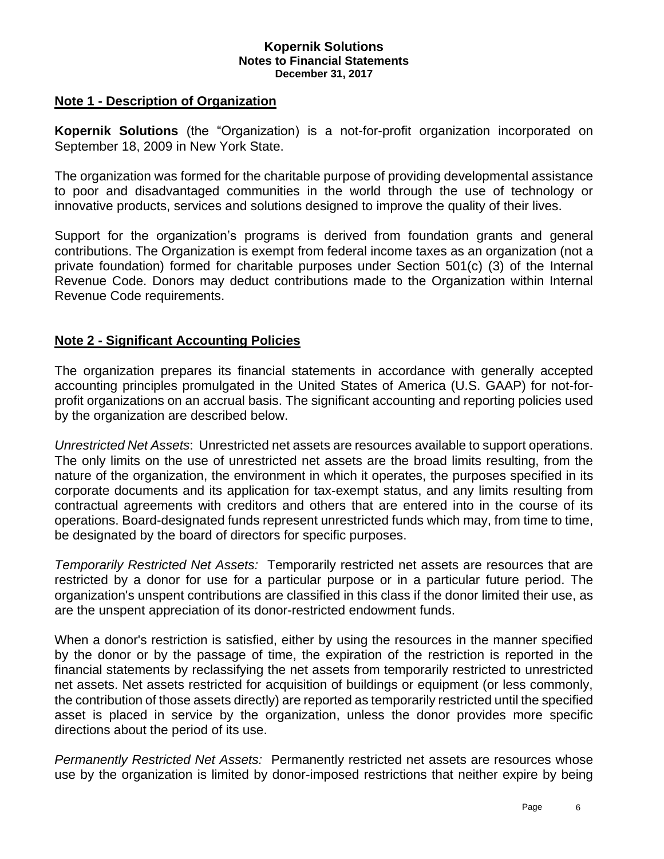## **Note 1 - Description of Organization**

**Kopernik Solutions** (the "Organization) is a not-for-profit organization incorporated on September 18, 2009 in New York State.

The organization was formed for the charitable purpose of providing developmental assistance to poor and disadvantaged communities in the world through the use of technology or innovative products, services and solutions designed to improve the quality of their lives.

Support for the organization's programs is derived from foundation grants and general contributions. The Organization is exempt from federal income taxes as an organization (not a private foundation) formed for charitable purposes under Section 501(c) (3) of the Internal Revenue Code. Donors may deduct contributions made to the Organization within Internal Revenue Code requirements.

## **Note 2 - Significant Accounting Policies**

The organization prepares its financial statements in accordance with generally accepted accounting principles promulgated in the United States of America (U.S. GAAP) for not-forprofit organizations on an accrual basis. The significant accounting and reporting policies used by the organization are described below.

*Unrestricted Net Assets*: Unrestricted net assets are resources available to support operations. The only limits on the use of unrestricted net assets are the broad limits resulting, from the nature of the organization, the environment in which it operates, the purposes specified in its corporate documents and its application for tax-exempt status, and any limits resulting from contractual agreements with creditors and others that are entered into in the course of its operations. Board-designated funds represent unrestricted funds which may, from time to time, be designated by the board of directors for specific purposes.

*Temporarily Restricted Net Assets:* Temporarily restricted net assets are resources that are restricted by a donor for use for a particular purpose or in a particular future period. The organization's unspent contributions are classified in this class if the donor limited their use, as are the unspent appreciation of its donor-restricted endowment funds.

When a donor's restriction is satisfied, either by using the resources in the manner specified by the donor or by the passage of time, the expiration of the restriction is reported in the financial statements by reclassifying the net assets from temporarily restricted to unrestricted net assets. Net assets restricted for acquisition of buildings or equipment (or less commonly, the contribution of those assets directly) are reported as temporarily restricted until the specified asset is placed in service by the organization, unless the donor provides more specific directions about the period of its use.

*Permanently Restricted Net Assets:* Permanently restricted net assets are resources whose use by the organization is limited by donor-imposed restrictions that neither expire by being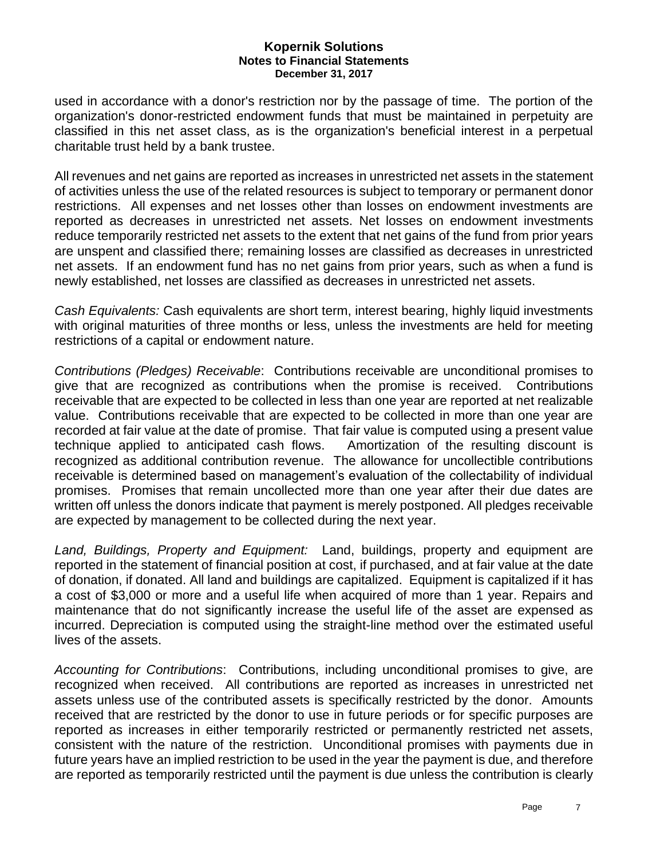used in accordance with a donor's restriction nor by the passage of time. The portion of the organization's donor-restricted endowment funds that must be maintained in perpetuity are classified in this net asset class, as is the organization's beneficial interest in a perpetual charitable trust held by a bank trustee.

All revenues and net gains are reported as increases in unrestricted net assets in the statement of activities unless the use of the related resources is subject to temporary or permanent donor restrictions. All expenses and net losses other than losses on endowment investments are reported as decreases in unrestricted net assets. Net losses on endowment investments reduce temporarily restricted net assets to the extent that net gains of the fund from prior years are unspent and classified there; remaining losses are classified as decreases in unrestricted net assets. If an endowment fund has no net gains from prior years, such as when a fund is newly established, net losses are classified as decreases in unrestricted net assets.

*Cash Equivalents:* Cash equivalents are short term, interest bearing, highly liquid investments with original maturities of three months or less, unless the investments are held for meeting restrictions of a capital or endowment nature.

*Contributions (Pledges) Receivable*: Contributions receivable are unconditional promises to give that are recognized as contributions when the promise is received. Contributions receivable that are expected to be collected in less than one year are reported at net realizable value. Contributions receivable that are expected to be collected in more than one year are recorded at fair value at the date of promise. That fair value is computed using a present value technique applied to anticipated cash flows. Amortization of the resulting discount is recognized as additional contribution revenue. The allowance for uncollectible contributions receivable is determined based on management's evaluation of the collectability of individual promises. Promises that remain uncollected more than one year after their due dates are written off unless the donors indicate that payment is merely postponed. All pledges receivable are expected by management to be collected during the next year.

*Land, Buildings, Property and Equipment:* Land, buildings, property and equipment are reported in the statement of financial position at cost, if purchased, and at fair value at the date of donation, if donated. All land and buildings are capitalized. Equipment is capitalized if it has a cost of \$3,000 or more and a useful life when acquired of more than 1 year. Repairs and maintenance that do not significantly increase the useful life of the asset are expensed as incurred. Depreciation is computed using the straight-line method over the estimated useful lives of the assets.

*Accounting for Contributions*: Contributions, including unconditional promises to give, are recognized when received. All contributions are reported as increases in unrestricted net assets unless use of the contributed assets is specifically restricted by the donor. Amounts received that are restricted by the donor to use in future periods or for specific purposes are reported as increases in either temporarily restricted or permanently restricted net assets, consistent with the nature of the restriction. Unconditional promises with payments due in future years have an implied restriction to be used in the year the payment is due, and therefore are reported as temporarily restricted until the payment is due unless the contribution is clearly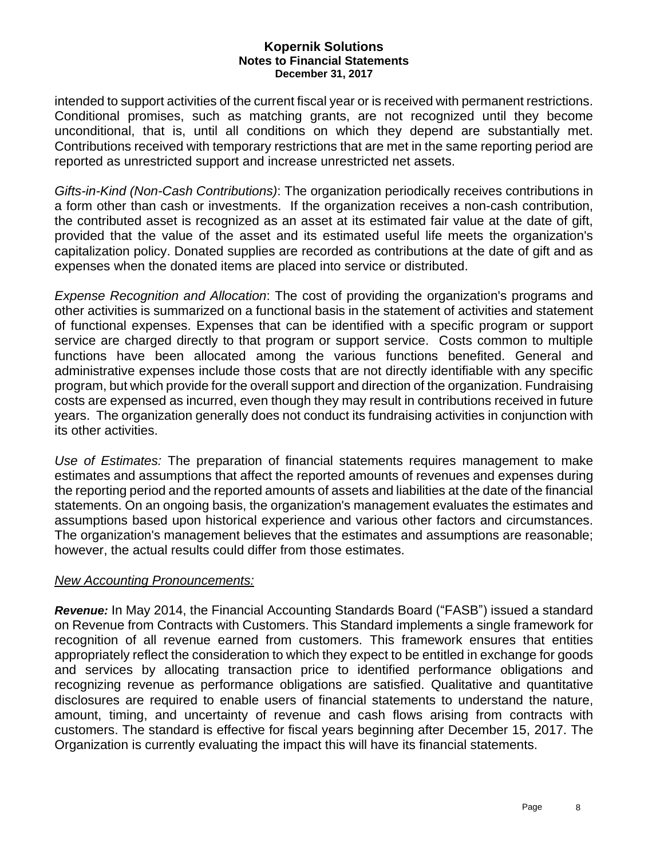intended to support activities of the current fiscal year or is received with permanent restrictions. Conditional promises, such as matching grants, are not recognized until they become unconditional, that is, until all conditions on which they depend are substantially met. Contributions received with temporary restrictions that are met in the same reporting period are reported as unrestricted support and increase unrestricted net assets.

*Gifts-in-Kind (Non-Cash Contributions)*: The organization periodically receives contributions in a form other than cash or investments. If the organization receives a non-cash contribution, the contributed asset is recognized as an asset at its estimated fair value at the date of gift, provided that the value of the asset and its estimated useful life meets the organization's capitalization policy. Donated supplies are recorded as contributions at the date of gift and as expenses when the donated items are placed into service or distributed.

*Expense Recognition and Allocation*: The cost of providing the organization's programs and other activities is summarized on a functional basis in the statement of activities and statement of functional expenses. Expenses that can be identified with a specific program or support service are charged directly to that program or support service. Costs common to multiple functions have been allocated among the various functions benefited. General and administrative expenses include those costs that are not directly identifiable with any specific program, but which provide for the overall support and direction of the organization. Fundraising costs are expensed as incurred, even though they may result in contributions received in future years. The organization generally does not conduct its fundraising activities in conjunction with its other activities.

*Use of Estimates:* The preparation of financial statements requires management to make estimates and assumptions that affect the reported amounts of revenues and expenses during the reporting period and the reported amounts of assets and liabilities at the date of the financial statements. On an ongoing basis, the organization's management evaluates the estimates and assumptions based upon historical experience and various other factors and circumstances. The organization's management believes that the estimates and assumptions are reasonable; however, the actual results could differ from those estimates.

## *New Accounting Pronouncements:*

*Revenue:* In May 2014, the Financial Accounting Standards Board ("FASB") issued a standard on Revenue from Contracts with Customers. This Standard implements a single framework for recognition of all revenue earned from customers. This framework ensures that entities appropriately reflect the consideration to which they expect to be entitled in exchange for goods and services by allocating transaction price to identified performance obligations and recognizing revenue as performance obligations are satisfied. Qualitative and quantitative disclosures are required to enable users of financial statements to understand the nature, amount, timing, and uncertainty of revenue and cash flows arising from contracts with customers. The standard is effective for fiscal years beginning after December 15, 2017. The Organization is currently evaluating the impact this will have its financial statements.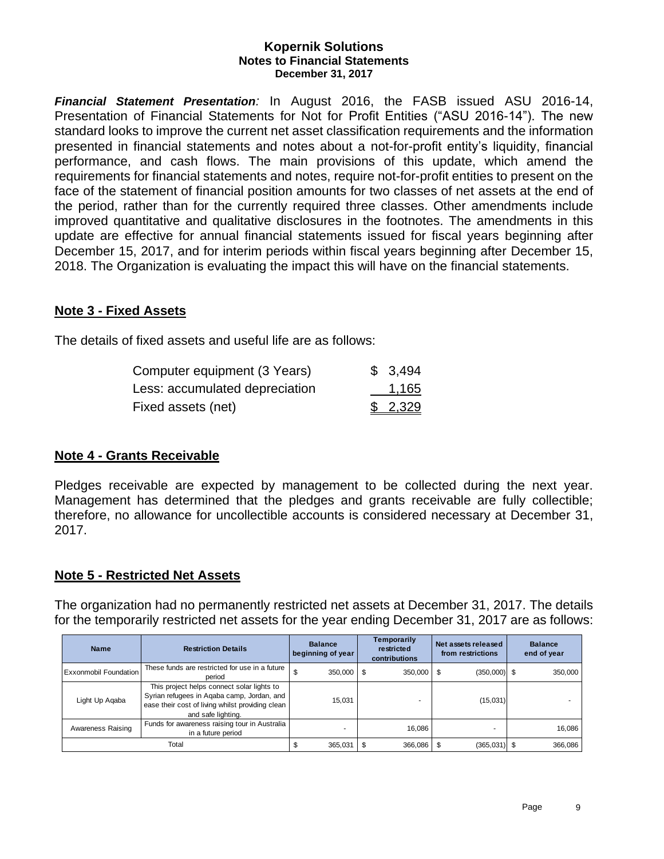*Financial Statement Presentation:* In August 2016, the FASB issued ASU 2016-14, Presentation of Financial Statements for Not for Profit Entities ("ASU 2016-14"). The new standard looks to improve the current net asset classification requirements and the information presented in financial statements and notes about a not-for-profit entity's liquidity, financial performance, and cash flows. The main provisions of this update, which amend the requirements for financial statements and notes, require not-for-profit entities to present on the face of the statement of financial position amounts for two classes of net assets at the end of the period, rather than for the currently required three classes. Other amendments include improved quantitative and qualitative disclosures in the footnotes. The amendments in this update are effective for annual financial statements issued for fiscal years beginning after December 15, 2017, and for interim periods within fiscal years beginning after December 15, 2018. The Organization is evaluating the impact this will have on the financial statements.

## **Note 3 - Fixed Assets**

The details of fixed assets and useful life are as follows:

| Computer equipment (3 Years)   | \$3,494  |
|--------------------------------|----------|
| Less: accumulated depreciation | 1,165    |
| Fixed assets (net)             | \$ 2,329 |

## **Note 4 - Grants Receivable**

Pledges receivable are expected by management to be collected during the next year. Management has determined that the pledges and grants receivable are fully collectible; therefore, no allowance for uncollectible accounts is considered necessary at December 31, 2017.

## **Note 5 - Restricted Net Assets**

The organization had no permanently restricted net assets at December 31, 2017. The details for the temporarily restricted net assets for the year ending December 31, 2017 are as follows:

| <b>Name</b>                  | <b>Restriction Details</b>                                                                                                                                         | <b>Balance</b><br>beginning of year |         | Temporarily<br>restricted<br>contributions | Net assets released<br>from restrictions | <b>Balance</b><br>end of year |
|------------------------------|--------------------------------------------------------------------------------------------------------------------------------------------------------------------|-------------------------------------|---------|--------------------------------------------|------------------------------------------|-------------------------------|
| <b>Exxonmobil Foundation</b> | These funds are restricted for use in a future<br>period                                                                                                           | ¢<br>D                              | 350,000 | \$<br>350.000                              | \$<br>$(350,000)$ \$                     | 350,000                       |
| Light Up Agaba               | This project helps connect solar lights to<br>Syrian refugees in Agaba camp, Jordan, and<br>ease their cost of living whilst providing clean<br>and safe lighting. |                                     | 15.031  |                                            | (15,031)                                 |                               |
| Awareness Raising            | Funds for awareness raising tour in Australia<br>in a future period                                                                                                |                                     |         | 16,086                                     | ۰                                        | 16,086                        |
|                              | Total                                                                                                                                                              |                                     | 365,031 | 366,086                                    | $(365,031)$ \$                           | 366,086                       |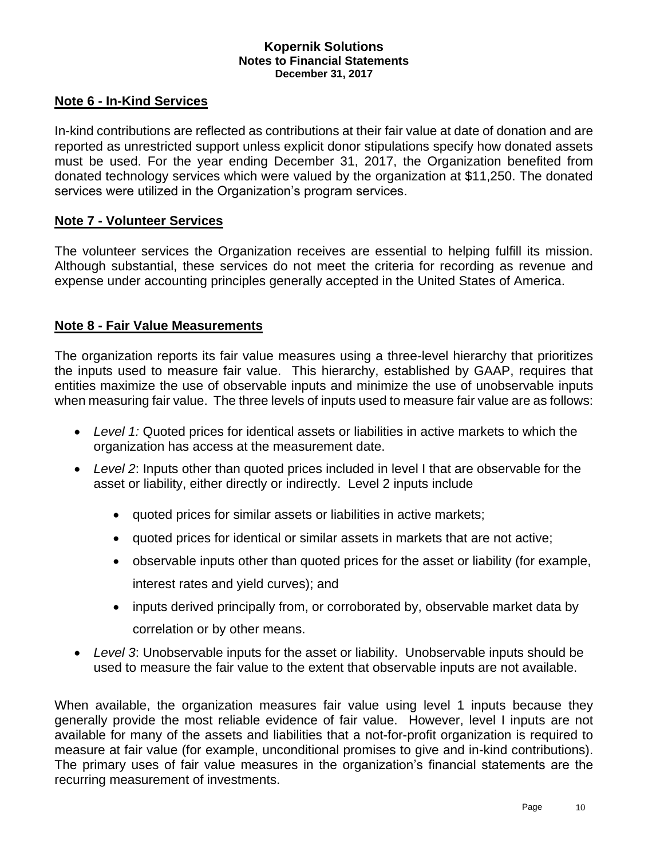## **Note 6 - In-Kind Services**

In-kind contributions are reflected as contributions at their fair value at date of donation and are reported as unrestricted support unless explicit donor stipulations specify how donated assets must be used. For the year ending December 31, 2017, the Organization benefited from donated technology services which were valued by the organization at \$11,250. The donated services were utilized in the Organization's program services.

## **Note 7 - Volunteer Services**

The volunteer services the Organization receives are essential to helping fulfill its mission. Although substantial, these services do not meet the criteria for recording as revenue and expense under accounting principles generally accepted in the United States of America.

## **Note 8 - Fair Value Measurements**

The organization reports its fair value measures using a three-level hierarchy that prioritizes the inputs used to measure fair value. This hierarchy, established by GAAP, requires that entities maximize the use of observable inputs and minimize the use of unobservable inputs when measuring fair value. The three levels of inputs used to measure fair value are as follows:

- *Level 1:* Quoted prices for identical assets or liabilities in active markets to which the organization has access at the measurement date.
- *Level 2*: Inputs other than quoted prices included in level I that are observable for the asset or liability, either directly or indirectly. Level 2 inputs include
	- quoted prices for similar assets or liabilities in active markets;
	- quoted prices for identical or similar assets in markets that are not active;
	- observable inputs other than quoted prices for the asset or liability (for example, interest rates and yield curves); and
	- inputs derived principally from, or corroborated by, observable market data by correlation or by other means.
- *Level 3*: Unobservable inputs for the asset or liability. Unobservable inputs should be used to measure the fair value to the extent that observable inputs are not available.

When available, the organization measures fair value using level 1 inputs because they generally provide the most reliable evidence of fair value. However, level I inputs are not available for many of the assets and liabilities that a not-for-profit organization is required to measure at fair value (for example, unconditional promises to give and in-kind contributions). The primary uses of fair value measures in the organization's financial statements are the recurring measurement of investments.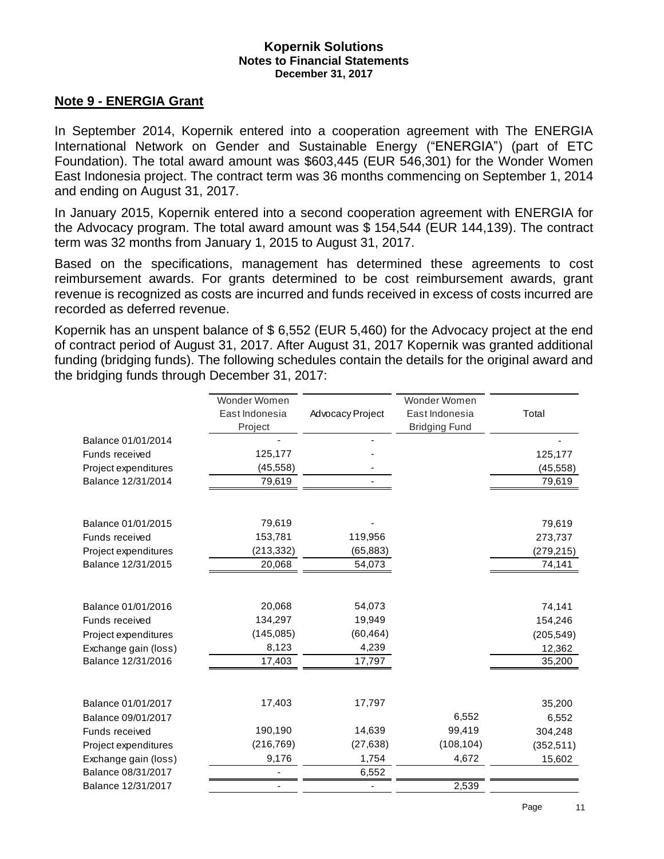## **Note 9 - ENERGIA Grant**

In September 2014, Kopernik entered into a cooperation agreement with The ENERGIA International Network on Gender and Sustainable Energy ("ENERGIA") (part of ETC Foundation). The total award amount was \$603,445 (EUR 546,301) for the Wonder Women East Indonesia project. The contract term was 36 months commencing on September 1, 2014 and ending on August 31, 2017.

In January 2015, Kopernik entered into a second cooperation agreement with ENERGIA for the Advocacy program. The total award amount was \$ 154,544 (EUR 144,139). The contract term was 32 months from January 1, 2015 to August 31, 2017.

Based on the specifications, management has determined these agreements to cost reimbursement awards. For grants determined to be cost reimbursement awards, grant revenue is recognized as costs are incurred and funds received in excess of costs incurred are recorded as deferred revenue.

Kopernik has an unspent balance of \$ 6,552 (EUR 5,460) for the Advocacy project at the end of contract period of August 31, 2017. After August 31, 2017 Kopernik was granted additional funding (bridging funds). The following schedules contain the details for the original award and the bridging funds through December 31, 2017:

|                      | Wonder Women<br>East Indonesia<br>Project | Advocacy Project | Wonder Women<br>East Indonesia<br><b>Bridging Fund</b> | Total      |
|----------------------|-------------------------------------------|------------------|--------------------------------------------------------|------------|
| Balance 01/01/2014   |                                           |                  |                                                        |            |
| Funds received       | 125,177                                   |                  |                                                        | 125,177    |
| Project expenditures | (45, 558)                                 |                  |                                                        | (45,558)   |
| Balance 12/31/2014   | 79,619                                    |                  |                                                        | 79,619     |
|                      |                                           |                  |                                                        |            |
| Balance 01/01/2015   | 79,619                                    |                  |                                                        | 79,619     |
| Funds received       | 153,781                                   | 119,956          |                                                        | 273,737    |
| Project expenditures | (213, 332)                                | (65, 883)        |                                                        | (279,215)  |
| Balance 12/31/2015   | 20,068                                    | 54,073           |                                                        | 74,141     |
|                      |                                           |                  |                                                        |            |
| Balance 01/01/2016   | 20,068                                    | 54,073           |                                                        | 74,141     |
| Funds received       | 134,297                                   | 19,949           |                                                        | 154,246    |
| Project expenditures | (145,085)                                 | (60, 464)        |                                                        | (205, 549) |
| Exchange gain (loss) | 8,123                                     | 4,239            |                                                        | 12,362     |
| Balance 12/31/2016   | 17,403                                    | 17,797           |                                                        | 35,200     |
|                      |                                           |                  |                                                        |            |
| Balance 01/01/2017   | 17,403                                    | 17,797           |                                                        | 35,200     |
| Balance 09/01/2017   |                                           |                  | 6,552                                                  | 6,552      |
| Funds received       | 190,190                                   | 14,639           | 99,419                                                 | 304,248    |
| Project expenditures | (216, 769)                                | (27, 638)        | (108, 104)                                             | (352, 511) |
| Exchange gain (loss) | 9,176                                     | 1,754            | 4,672                                                  | 15,602     |
| Balance 08/31/2017   |                                           | 6,552            |                                                        |            |
| Balance 12/31/2017   |                                           |                  | 2,539                                                  |            |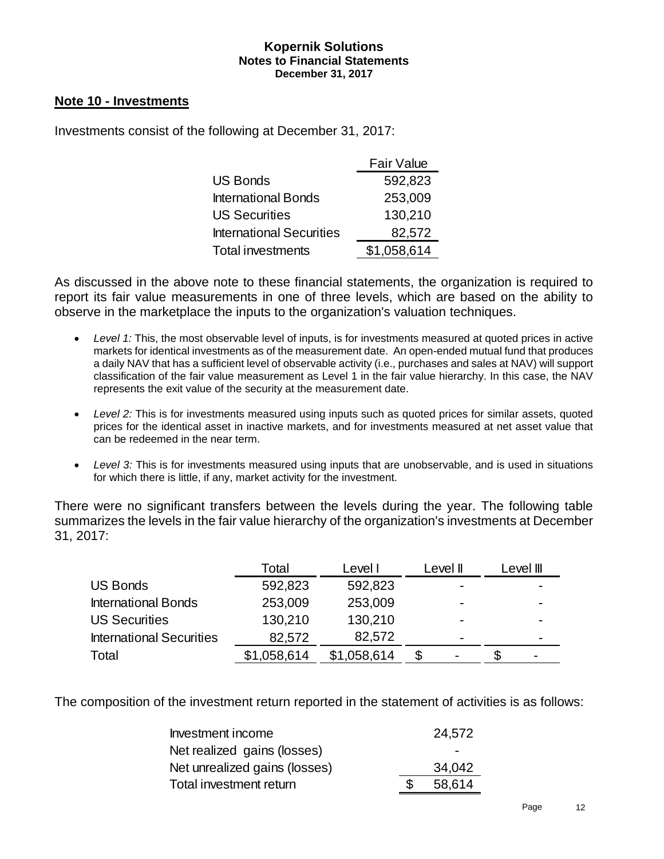## **Note 10 - Investments**

Investments consist of the following at December 31, 2017:

|                                 | <b>Fair Value</b> |
|---------------------------------|-------------------|
| <b>US Bonds</b>                 | 592,823           |
| <b>International Bonds</b>      | 253,009           |
| <b>US Securities</b>            | 130,210           |
| <b>International Securities</b> | 82,572            |
| <b>Total investments</b>        | \$1,058,614       |

As discussed in the above note to these financial statements, the organization is required to report its fair value measurements in one of three levels, which are based on the ability to observe in the marketplace the inputs to the organization's valuation techniques.

- *Level 1:* This, the most observable level of inputs, is for investments measured at quoted prices in active markets for identical investments as of the measurement date. An open-ended mutual fund that produces a daily NAV that has a sufficient level of observable activity (i.e., purchases and sales at NAV) will support classification of the fair value measurement as Level 1 in the fair value hierarchy. In this case, the NAV represents the exit value of the security at the measurement date.
- *Level 2:* This is for investments measured using inputs such as quoted prices for similar assets, quoted prices for the identical asset in inactive markets, and for investments measured at net asset value that can be redeemed in the near term.
- *Level 3:* This is for investments measured using inputs that are unobservable, and is used in situations for which there is little, if any, market activity for the investment.

There were no significant transfers between the levels during the year. The following table summarizes the levels in the fair value hierarchy of the organization's investments at December 31, 2017:

|                                 | Total       | Level I     | Level II |                | Level III                |
|---------------------------------|-------------|-------------|----------|----------------|--------------------------|
| <b>US Bonds</b>                 | 592,823     | 592,823     |          |                |                          |
| <b>International Bonds</b>      | 253,009     | 253,009     |          |                | ۰                        |
| <b>US Securities</b>            | 130,210     | 130,210     |          |                | $\overline{\phantom{0}}$ |
| <b>International Securities</b> | 82,572      | 82,572      |          |                | $\overline{\phantom{0}}$ |
| Total                           | \$1,058,614 | \$1,058,614 |          | $\blacksquare$ | $\overline{\phantom{0}}$ |

The composition of the investment return reported in the statement of activities is as follows:

| Investment income             | 24,572                   |
|-------------------------------|--------------------------|
| Net realized gains (losses)   | $\overline{\phantom{0}}$ |
| Net unrealized gains (losses) | 34,042                   |
| Total investment return       | 58,614                   |
|                               |                          |